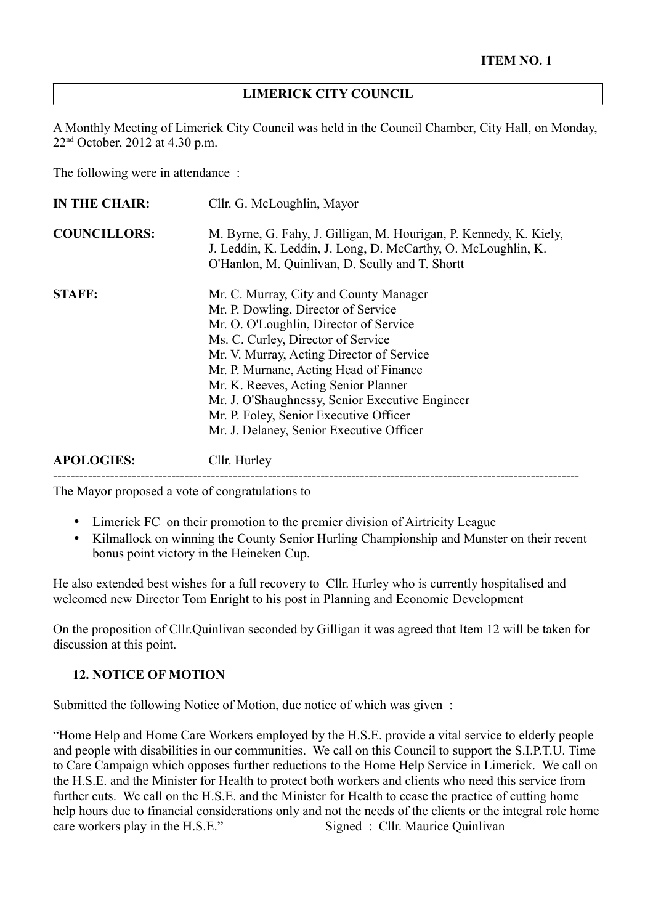#### **LIMERICK CITY COUNCIL**

A Monthly Meeting of Limerick City Council was held in the Council Chamber, City Hall, on Monday, 22nd October, 2012 at 4.30 p.m.

The following were in attendance :

| <b>IN THE CHAIR:</b> | Cllr. G. McLoughlin, Mayor                                                                                                                                                                                                                                                                                                                                                                                                            |
|----------------------|---------------------------------------------------------------------------------------------------------------------------------------------------------------------------------------------------------------------------------------------------------------------------------------------------------------------------------------------------------------------------------------------------------------------------------------|
| <b>COUNCILLORS:</b>  | M. Byrne, G. Fahy, J. Gilligan, M. Hourigan, P. Kennedy, K. Kiely,<br>J. Leddin, K. Leddin, J. Long, D. McCarthy, O. McLoughlin, K.<br>O'Hanlon, M. Quinlivan, D. Scully and T. Shortt                                                                                                                                                                                                                                                |
| <b>STAFF:</b>        | Mr. C. Murray, City and County Manager<br>Mr. P. Dowling, Director of Service<br>Mr. O. O'Loughlin, Director of Service<br>Ms. C. Curley, Director of Service<br>Mr. V. Murray, Acting Director of Service<br>Mr. P. Murnane, Acting Head of Finance<br>Mr. K. Reeves, Acting Senior Planner<br>Mr. J. O'Shaughnessy, Senior Executive Engineer<br>Mr. P. Foley, Senior Executive Officer<br>Mr. J. Delaney, Senior Executive Officer |
| <b>APOLOGIES:</b>    | Cllr. Hurley                                                                                                                                                                                                                                                                                                                                                                                                                          |

------------------------------------------------------------------------------------------------------------------------

The Mayor proposed a vote of congratulations to

- Limerick FC on their promotion to the premier division of Airtricity League
- Kilmallock on winning the County Senior Hurling Championship and Munster on their recent bonus point victory in the Heineken Cup.

He also extended best wishes for a full recovery to Cllr. Hurley who is currently hospitalised and welcomed new Director Tom Enright to his post in Planning and Economic Development

On the proposition of Cllr.Quinlivan seconded by Gilligan it was agreed that Item 12 will be taken for discussion at this point.

#### **12. NOTICE OF MOTION**

Submitted the following Notice of Motion, due notice of which was given :

"Home Help and Home Care Workers employed by the H.S.E. provide a vital service to elderly people and people with disabilities in our communities. We call on this Council to support the S.I.P.T.U. Time to Care Campaign which opposes further reductions to the Home Help Service in Limerick. We call on the H.S.E. and the Minister for Health to protect both workers and clients who need this service from further cuts. We call on the H.S.E. and the Minister for Health to cease the practice of cutting home help hours due to financial considerations only and not the needs of the clients or the integral role home care workers play in the H.S.E." Signed : Cllr. Maurice Ouinlivan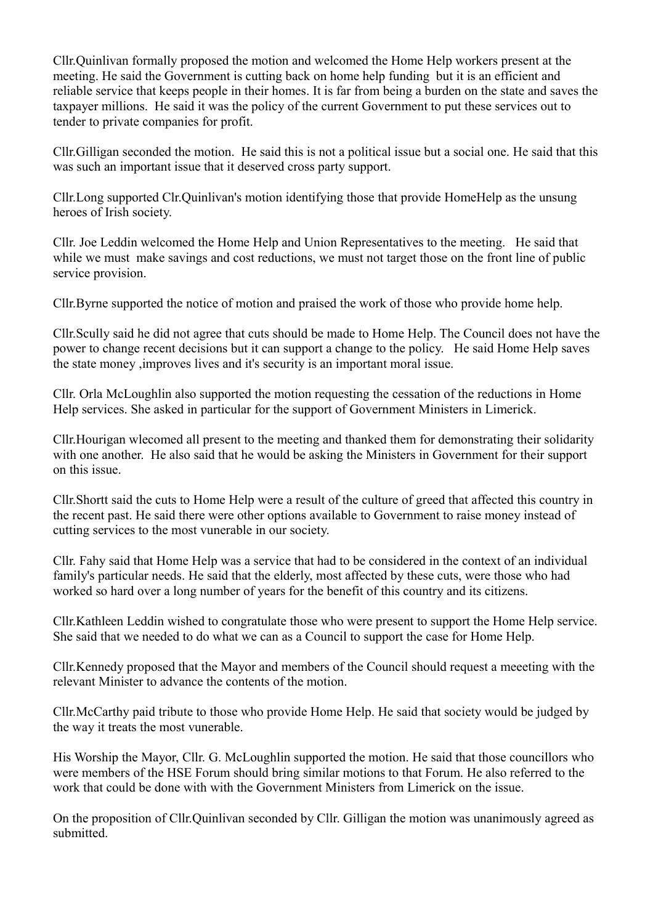Cllr.Quinlivan formally proposed the motion and welcomed the Home Help workers present at the meeting. He said the Government is cutting back on home help funding but it is an efficient and reliable service that keeps people in their homes. It is far from being a burden on the state and saves the taxpayer millions. He said it was the policy of the current Government to put these services out to tender to private companies for profit.

Cllr.Gilligan seconded the motion. He said this is not a political issue but a social one. He said that this was such an important issue that it deserved cross party support.

Cllr.Long supported Clr.Quinlivan's motion identifying those that provide HomeHelp as the unsung heroes of Irish society.

Cllr. Joe Leddin welcomed the Home Help and Union Representatives to the meeting. He said that while we must make savings and cost reductions, we must not target those on the front line of public service provision.

Cllr.Byrne supported the notice of motion and praised the work of those who provide home help.

Cllr.Scully said he did not agree that cuts should be made to Home Help. The Council does not have the power to change recent decisions but it can support a change to the policy. He said Home Help saves the state money ,improves lives and it's security is an important moral issue.

Cllr. Orla McLoughlin also supported the motion requesting the cessation of the reductions in Home Help services. She asked in particular for the support of Government Ministers in Limerick.

Cllr.Hourigan wlecomed all present to the meeting and thanked them for demonstrating their solidarity with one another. He also said that he would be asking the Ministers in Government for their support on this issue.

Cllr.Shortt said the cuts to Home Help were a result of the culture of greed that affected this country in the recent past. He said there were other options available to Government to raise money instead of cutting services to the most vunerable in our society.

Cllr. Fahy said that Home Help was a service that had to be considered in the context of an individual family's particular needs. He said that the elderly, most affected by these cuts, were those who had worked so hard over a long number of years for the benefit of this country and its citizens.

Cllr.Kathleen Leddin wished to congratulate those who were present to support the Home Help service. She said that we needed to do what we can as a Council to support the case for Home Help.

Cllr.Kennedy proposed that the Mayor and members of the Council should request a meeeting with the relevant Minister to advance the contents of the motion.

Cllr.McCarthy paid tribute to those who provide Home Help. He said that society would be judged by the way it treats the most vunerable.

His Worship the Mayor, Cllr. G. McLoughlin supported the motion. He said that those councillors who were members of the HSE Forum should bring similar motions to that Forum. He also referred to the work that could be done with with the Government Ministers from Limerick on the issue.

On the proposition of Cllr.Quinlivan seconded by Cllr. Gilligan the motion was unanimously agreed as submitted.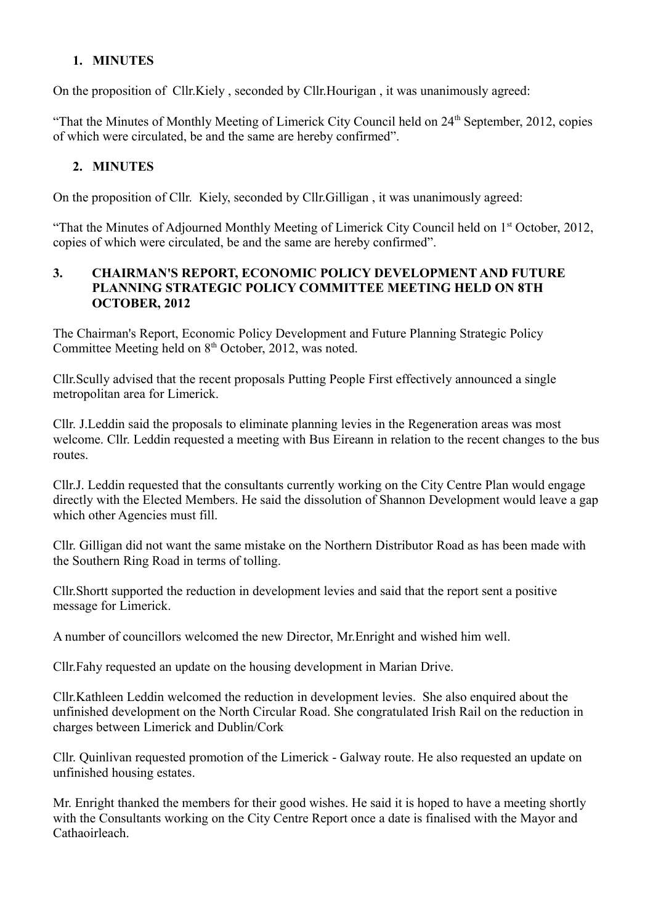### **1. MINUTES**

On the proposition of Cllr.Kiely , seconded by Cllr.Hourigan , it was unanimously agreed:

"That the Minutes of Monthly Meeting of Limerick City Council held on 24<sup>th</sup> September, 2012, copies of which were circulated, be and the same are hereby confirmed".

#### **2. MINUTES**

On the proposition of Cllr. Kiely, seconded by Cllr.Gilligan , it was unanimously agreed:

"That the Minutes of Adjourned Monthly Meeting of Limerick City Council held on 1st October, 2012, copies of which were circulated, be and the same are hereby confirmed".

#### **3. CHAIRMAN'S REPORT, ECONOMIC POLICY DEVELOPMENT AND FUTURE PLANNING STRATEGIC POLICY COMMITTEE MEETING HELD ON 8TH OCTOBER, 2012**

The Chairman's Report, Economic Policy Development and Future Planning Strategic Policy Committee Meeting held on 8<sup>th</sup> October, 2012, was noted.

Cllr.Scully advised that the recent proposals Putting People First effectively announced a single metropolitan area for Limerick.

Cllr. J.Leddin said the proposals to eliminate planning levies in the Regeneration areas was most welcome. Cllr. Leddin requested a meeting with Bus Eireann in relation to the recent changes to the bus routes.

Cllr.J. Leddin requested that the consultants currently working on the City Centre Plan would engage directly with the Elected Members. He said the dissolution of Shannon Development would leave a gap which other Agencies must fill.

Cllr. Gilligan did not want the same mistake on the Northern Distributor Road as has been made with the Southern Ring Road in terms of tolling.

Cllr.Shortt supported the reduction in development levies and said that the report sent a positive message for Limerick.

A number of councillors welcomed the new Director, Mr.Enright and wished him well.

Cllr.Fahy requested an update on the housing development in Marian Drive.

Cllr.Kathleen Leddin welcomed the reduction in development levies. She also enquired about the unfinished development on the North Circular Road. She congratulated Irish Rail on the reduction in charges between Limerick and Dublin/Cork

Cllr. Quinlivan requested promotion of the Limerick - Galway route. He also requested an update on unfinished housing estates.

Mr. Enright thanked the members for their good wishes. He said it is hoped to have a meeting shortly with the Consultants working on the City Centre Report once a date is finalised with the Mayor and Cathaoirleach.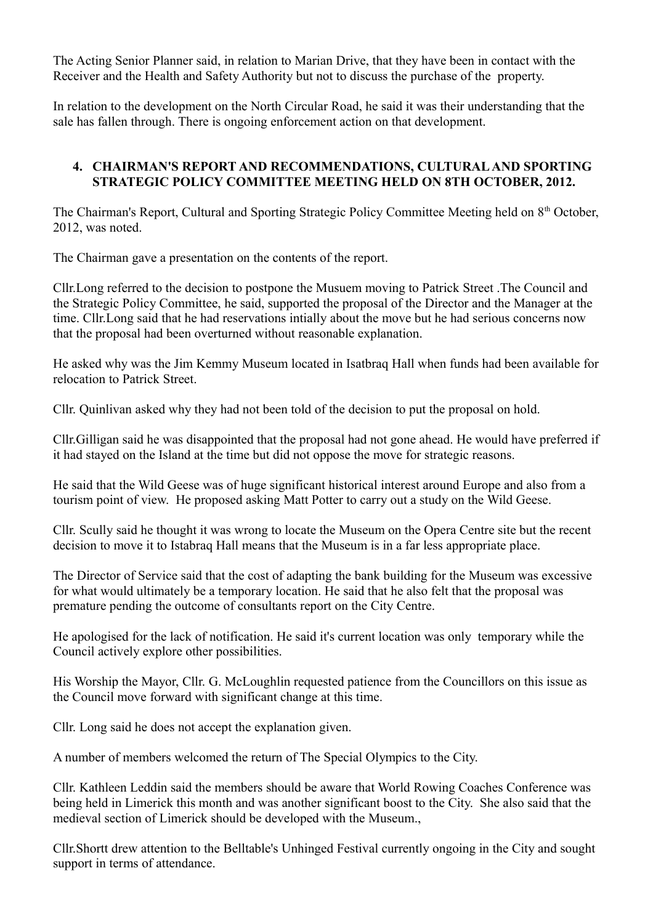The Acting Senior Planner said, in relation to Marian Drive, that they have been in contact with the Receiver and the Health and Safety Authority but not to discuss the purchase of the property.

In relation to the development on the North Circular Road, he said it was their understanding that the sale has fallen through. There is ongoing enforcement action on that development.

#### **4. CHAIRMAN'S REPORT AND RECOMMENDATIONS, CULTURAL AND SPORTING STRATEGIC POLICY COMMITTEE MEETING HELD ON 8TH OCTOBER, 2012.**

The Chairman's Report, Cultural and Sporting Strategic Policy Committee Meeting held on 8<sup>th</sup> October, 2012, was noted.

The Chairman gave a presentation on the contents of the report.

Cllr.Long referred to the decision to postpone the Musuem moving to Patrick Street .The Council and the Strategic Policy Committee, he said, supported the proposal of the Director and the Manager at the time. Cllr.Long said that he had reservations intially about the move but he had serious concerns now that the proposal had been overturned without reasonable explanation.

He asked why was the Jim Kemmy Museum located in Isatbraq Hall when funds had been available for relocation to Patrick Street.

Cllr. Quinlivan asked why they had not been told of the decision to put the proposal on hold.

Cllr.Gilligan said he was disappointed that the proposal had not gone ahead. He would have preferred if it had stayed on the Island at the time but did not oppose the move for strategic reasons.

He said that the Wild Geese was of huge significant historical interest around Europe and also from a tourism point of view. He proposed asking Matt Potter to carry out a study on the Wild Geese.

Cllr. Scully said he thought it was wrong to locate the Museum on the Opera Centre site but the recent decision to move it to Istabraq Hall means that the Museum is in a far less appropriate place.

The Director of Service said that the cost of adapting the bank building for the Museum was excessive for what would ultimately be a temporary location. He said that he also felt that the proposal was premature pending the outcome of consultants report on the City Centre.

He apologised for the lack of notification. He said it's current location was only temporary while the Council actively explore other possibilities.

His Worship the Mayor, Cllr. G. McLoughlin requested patience from the Councillors on this issue as the Council move forward with significant change at this time.

Cllr. Long said he does not accept the explanation given.

A number of members welcomed the return of The Special Olympics to the City.

Cllr. Kathleen Leddin said the members should be aware that World Rowing Coaches Conference was being held in Limerick this month and was another significant boost to the City. She also said that the medieval section of Limerick should be developed with the Museum.,

Cllr.Shortt drew attention to the Belltable's Unhinged Festival currently ongoing in the City and sought support in terms of attendance.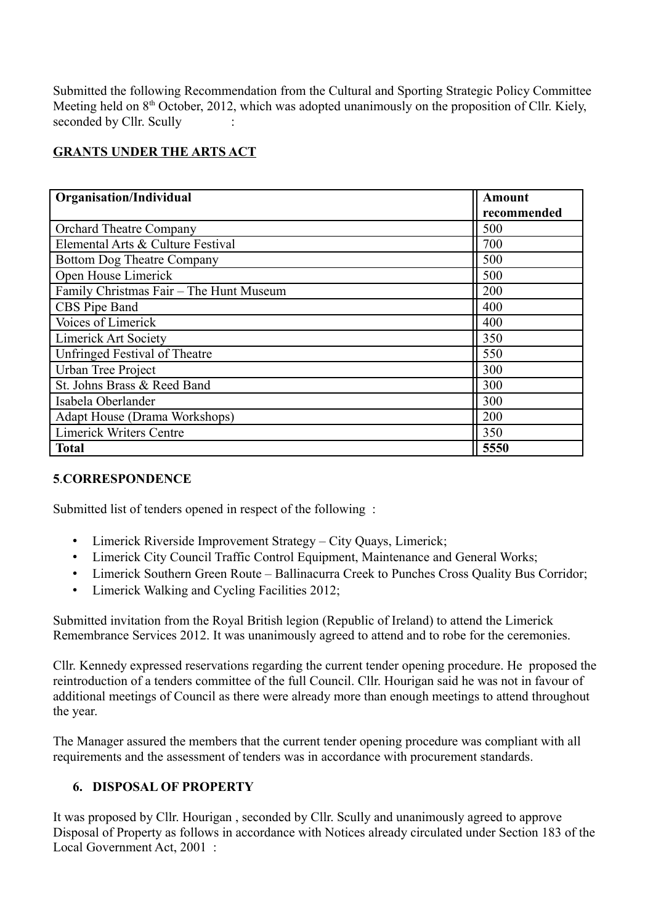Submitted the following Recommendation from the Cultural and Sporting Strategic Policy Committee Meeting held on  $8<sup>th</sup>$  October, 2012, which was adopted unanimously on the proposition of Cllr. Kiely, seconded by Cllr. Scully

# **GRANTS UNDER THE ARTS ACT**

| <b>Organisation/Individual</b>          | Amount      |
|-----------------------------------------|-------------|
|                                         | recommended |
| <b>Orchard Theatre Company</b>          | 500         |
| Elemental Arts & Culture Festival       | 700         |
| <b>Bottom Dog Theatre Company</b>       | 500         |
| Open House Limerick                     | 500         |
| Family Christmas Fair - The Hunt Museum | 200         |
| CBS Pipe Band                           | 400         |
| Voices of Limerick                      | 400         |
| <b>Limerick Art Society</b>             | 350         |
| Unfringed Festival of Theatre           | 550         |
| Urban Tree Project                      | 300         |
| St. Johns Brass & Reed Band             | 300         |
| Isabela Oberlander                      | 300         |
| Adapt House (Drama Workshops)           | 200         |
| <b>Limerick Writers Centre</b>          | 350         |
| <b>Total</b>                            | 5550        |

#### **5**.**CORRESPONDENCE**

Submitted list of tenders opened in respect of the following :

- Limerick Riverside Improvement Strategy City Quays, Limerick;
- Limerick City Council Traffic Control Equipment, Maintenance and General Works;
- Limerick Southern Green Route Ballinacurra Creek to Punches Cross Quality Bus Corridor;
- Limerick Walking and Cycling Facilities 2012;

Submitted invitation from the Royal British legion (Republic of Ireland) to attend the Limerick Remembrance Services 2012. It was unanimously agreed to attend and to robe for the ceremonies.

Cllr. Kennedy expressed reservations regarding the current tender opening procedure. He proposed the reintroduction of a tenders committee of the full Council. Cllr. Hourigan said he was not in favour of additional meetings of Council as there were already more than enough meetings to attend throughout the year.

The Manager assured the members that the current tender opening procedure was compliant with all requirements and the assessment of tenders was in accordance with procurement standards.

### **6. DISPOSAL OF PROPERTY**

It was proposed by Cllr. Hourigan , seconded by Cllr. Scully and unanimously agreed to approve Disposal of Property as follows in accordance with Notices already circulated under Section 183 of the Local Government Act, 2001 :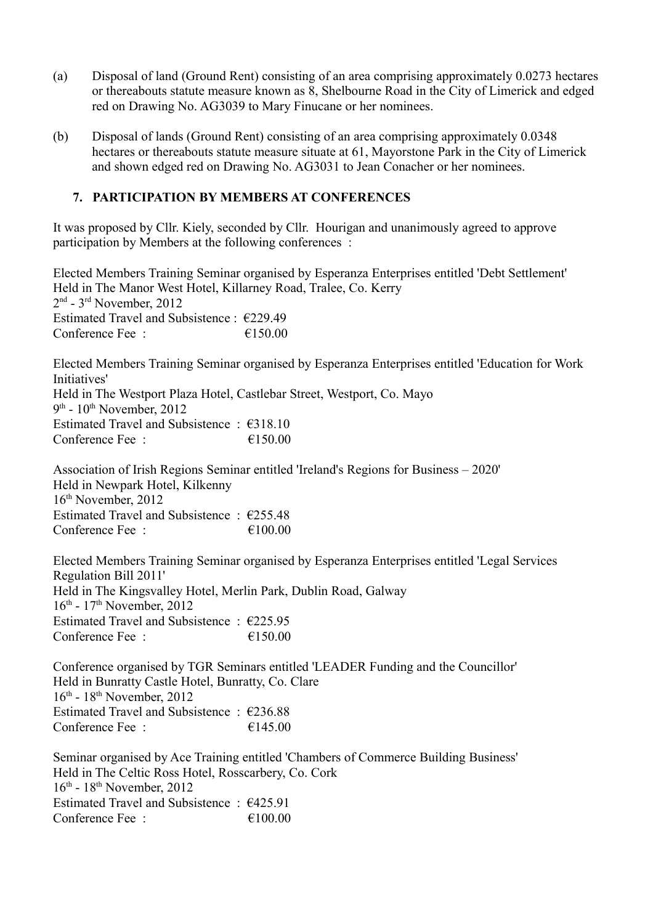- (a) Disposal of land (Ground Rent) consisting of an area comprising approximately 0.0273 hectares or thereabouts statute measure known as 8, Shelbourne Road in the City of Limerick and edged red on Drawing No. AG3039 to Mary Finucane or her nominees.
- (b) Disposal of lands (Ground Rent) consisting of an area comprising approximately 0.0348 hectares or thereabouts statute measure situate at 61, Mayorstone Park in the City of Limerick and shown edged red on Drawing No. AG3031 to Jean Conacher or her nominees.

#### **7. PARTICIPATION BY MEMBERS AT CONFERENCES**

It was proposed by Cllr. Kiely, seconded by Cllr. Hourigan and unanimously agreed to approve participation by Members at the following conferences :

Elected Members Training Seminar organised by Esperanza Enterprises entitled 'Debt Settlement' Held in The Manor West Hotel, Killarney Road, Tralee, Co. Kerry 2 nd - 3rd November, 2012 Estimated Travel and Subsistence : €229.49 Conference Fee  $\cdot$   $\epsilon$  150.00

Elected Members Training Seminar organised by Esperanza Enterprises entitled 'Education for Work Initiatives' Held in The Westport Plaza Hotel, Castlebar Street, Westport, Co. Mayo 9<sup>th</sup> - 10<sup>th</sup> November, 2012 Estimated Travel and Subsistence : €318.10 Conference Fee  $\cdot$   $\epsilon$ 150.00

Association of Irish Regions Seminar entitled 'Ireland's Regions for Business – 2020' Held in Newpark Hotel, Kilkenny 16th November, 2012 Estimated Travel and Subsistence  $\cdot$  €255.48 Conference Fee :  $\epsilon$  =  $\epsilon$  100.00

Elected Members Training Seminar organised by Esperanza Enterprises entitled 'Legal Services Regulation Bill 2011' Held in The Kingsvalley Hotel, Merlin Park, Dublin Road, Galway  $16<sup>th</sup>$  -  $17<sup>th</sup>$  November, 2012 Estimated Travel and Subsistence : €225.95 Conference Fee :  $\epsilon$  150.00

Conference organised by TGR Seminars entitled 'LEADER Funding and the Councillor' Held in Bunratty Castle Hotel, Bunratty, Co. Clare  $16<sup>th</sup>$  -  $18<sup>th</sup>$  November, 2012 Estimated Travel and Subsistence : €236.88 Conference Fee :  $\epsilon$  =  $\epsilon$  145.00

Seminar organised by Ace Training entitled 'Chambers of Commerce Building Business' Held in The Celtic Ross Hotel, Rosscarbery, Co. Cork  $16<sup>th</sup>$  -  $18<sup>th</sup>$  November, 2012 Estimated Travel and Subsistence : €425.91 Conference Fee  $\cdot$   $\epsilon$  100 00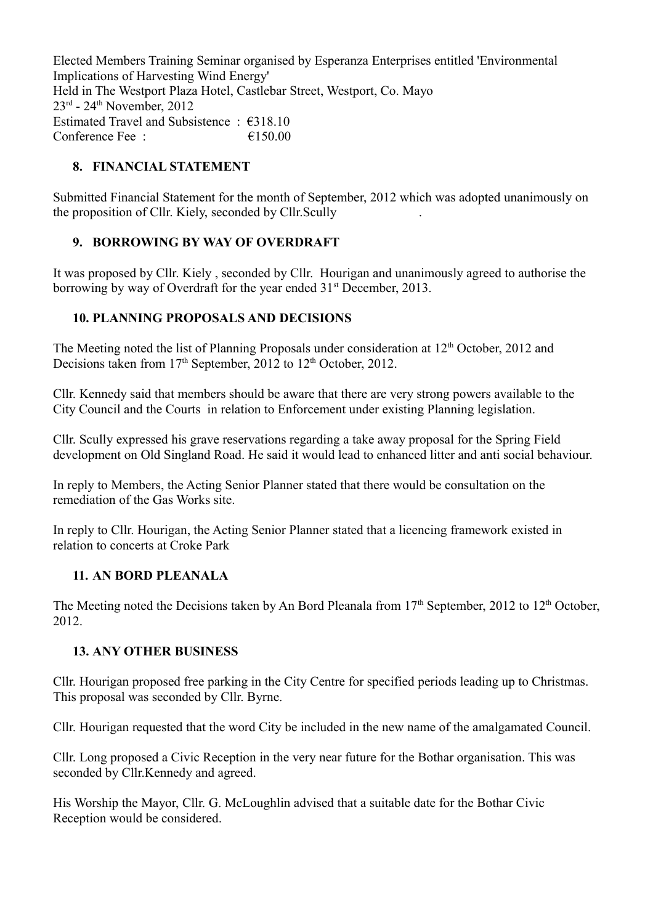Elected Members Training Seminar organised by Esperanza Enterprises entitled 'Environmental Implications of Harvesting Wind Energy' Held in The Westport Plaza Hotel, Castlebar Street, Westport, Co. Mayo  $23<sup>rd</sup>$  -  $24<sup>th</sup>$  November, 2012 Estimated Travel and Subsistence : €318.10 Conference Fee :  $\epsilon$  150.00

## **8. FINANCIAL STATEMENT**

Submitted Financial Statement for the month of September, 2012 which was adopted unanimously on the proposition of Cllr. Kiely, seconded by Cllr.Scully .

# **9. BORROWING BY WAY OF OVERDRAFT**

It was proposed by Cllr. Kiely , seconded by Cllr. Hourigan and unanimously agreed to authorise the borrowing by way of Overdraft for the year ended  $31<sup>st</sup>$  December, 2013.

### **10. PLANNING PROPOSALS AND DECISIONS**

The Meeting noted the list of Planning Proposals under consideration at  $12<sup>th</sup>$  October, 2012 and Decisions taken from  $17<sup>th</sup>$  September, 2012 to  $12<sup>th</sup>$  October, 2012.

Cllr. Kennedy said that members should be aware that there are very strong powers available to the City Council and the Courts in relation to Enforcement under existing Planning legislation.

Cllr. Scully expressed his grave reservations regarding a take away proposal for the Spring Field development on Old Singland Road. He said it would lead to enhanced litter and anti social behaviour.

In reply to Members, the Acting Senior Planner stated that there would be consultation on the remediation of the Gas Works site.

In reply to Cllr. Hourigan, the Acting Senior Planner stated that a licencing framework existed in relation to concerts at Croke Park

### **11. AN BORD PLEANALA**

The Meeting noted the Decisions taken by An Bord Pleanala from 17<sup>th</sup> September, 2012 to 12<sup>th</sup> October, 2012.

### **13. ANY OTHER BUSINESS**

Cllr. Hourigan proposed free parking in the City Centre for specified periods leading up to Christmas. This proposal was seconded by Cllr. Byrne.

Cllr. Hourigan requested that the word City be included in the new name of the amalgamated Council.

Cllr. Long proposed a Civic Reception in the very near future for the Bothar organisation. This was seconded by Cllr.Kennedy and agreed.

His Worship the Mayor, Cllr. G. McLoughlin advised that a suitable date for the Bothar Civic Reception would be considered.